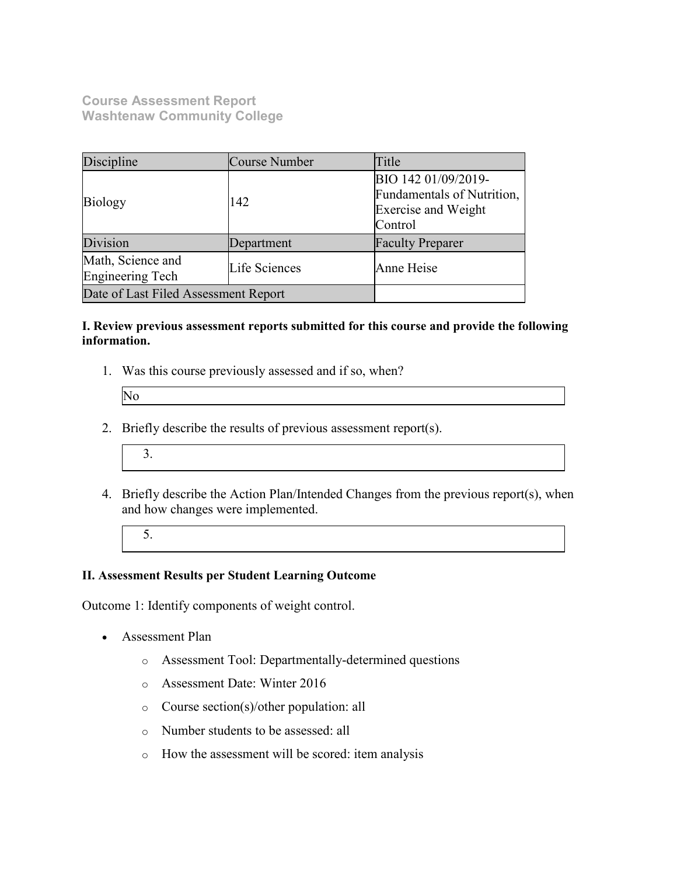**Course Assessment Report Washtenaw Community College**

| Discipline                                             | Course Number | Title                                                                                      |  |
|--------------------------------------------------------|---------------|--------------------------------------------------------------------------------------------|--|
| <b>Biology</b>                                         | 142           | BIO 142 01/09/2019-<br>Fundamentals of Nutrition,<br><b>Exercise and Weight</b><br>Control |  |
| Division                                               | Department    | <b>Faculty Preparer</b>                                                                    |  |
| Math, Science and<br>Life Sciences<br>Engineering Tech |               | Anne Heise                                                                                 |  |
| Date of Last Filed Assessment Report                   |               |                                                                                            |  |

## **I. Review previous assessment reports submitted for this course and provide the following information.**

1. Was this course previously assessed and if so, when?

| Þ |  |
|---|--|
|   |  |
|   |  |
|   |  |

2. Briefly describe the results of previous assessment report(s).



4. Briefly describe the Action Plan/Intended Changes from the previous report(s), when and how changes were implemented.

5.

## **II. Assessment Results per Student Learning Outcome**

Outcome 1: Identify components of weight control.

- Assessment Plan
	- o Assessment Tool: Departmentally-determined questions
	- o Assessment Date: Winter 2016
	- o Course section(s)/other population: all
	- o Number students to be assessed: all
	- o How the assessment will be scored: item analysis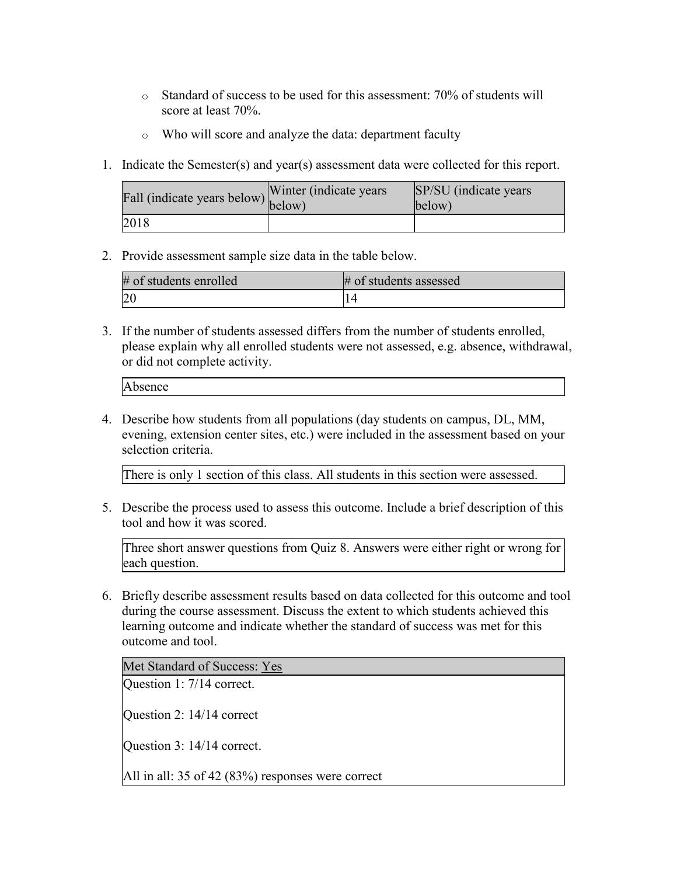- o Standard of success to be used for this assessment: 70% of students will score at least 70%.
- o Who will score and analyze the data: department faculty
- 1. Indicate the Semester(s) and year(s) assessment data were collected for this report.

| r'all (indicate years below) below) | Winter (indicate years) | SP/SU (indicate years)<br>below) |
|-------------------------------------|-------------------------|----------------------------------|
| 2018                                |                         |                                  |

2. Provide assessment sample size data in the table below.

| # of students enrolled | # of students assessed |
|------------------------|------------------------|
|                        |                        |

3. If the number of students assessed differs from the number of students enrolled, please explain why all enrolled students were not assessed, e.g. absence, withdrawal, or did not complete activity.

4. Describe how students from all populations (day students on campus, DL, MM, evening, extension center sites, etc.) were included in the assessment based on your selection criteria.

There is only 1 section of this class. All students in this section were assessed.

5. Describe the process used to assess this outcome. Include a brief description of this tool and how it was scored.

Three short answer questions from Quiz 8. Answers were either right or wrong for each question.

6. Briefly describe assessment results based on data collected for this outcome and tool during the course assessment. Discuss the extent to which students achieved this learning outcome and indicate whether the standard of success was met for this outcome and tool.

Met Standard of Success: Yes

Question 1: 7/14 correct.

Question 2: 14/14 correct

Question 3: 14/14 correct.

All in all: 35 of 42 (83%) responses were correct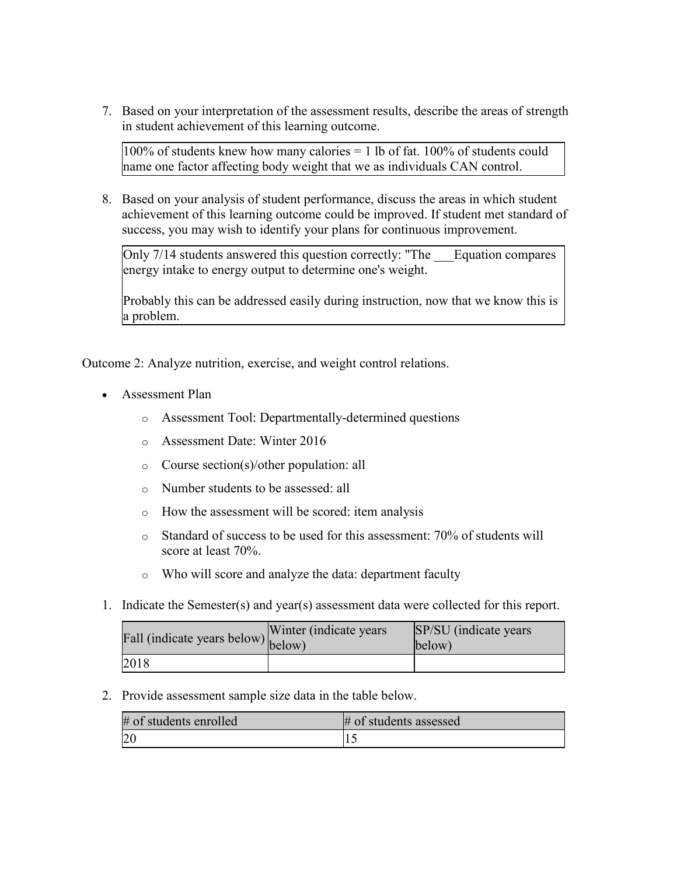7. Based on your interpretation of the assessment results, describe the areas of strength in student achievement of this learning outcome.

 $100\%$  of students knew how many calories = 1 lb of fat. 100% of students could name one factor affecting body weight that we as individuals CAN control.

8. Based on your analysis of student performance, discuss the areas in which student achievement of this learning outcome could be improved. If student met standard of success, you may wish to identify your plans for continuous improvement.

Only 7/14 students answered this question correctly: "The \_\_\_Equation compares energy intake to energy output to determine one's weight.

Probably this can be addressed easily during instruction, now that we know this is a problem.

Outcome 2: Analyze nutrition, exercise, and weight control relations.

- Assessment Plan
	- o Assessment Tool: Departmentally-determined questions
	- o Assessment Date: Winter 2016
	- o Course section(s)/other population: all
	- o Number students to be assessed: all
	- o How the assessment will be scored: item analysis
	- o Standard of success to be used for this assessment: 70% of students will score at least 70%.
	- o Who will score and analyze the data: department faculty
- 1. Indicate the Semester(s) and year(s) assessment data were collected for this report.

| rall (indicate years below) below) | Winter (indicate years) | SP/SU (indicate years)<br>below) |
|------------------------------------|-------------------------|----------------------------------|
| 2018                               |                         |                                  |

2. Provide assessment sample size data in the table below.

| $#$ of students enrolled | $#$ of students assessed |
|--------------------------|--------------------------|
|                          |                          |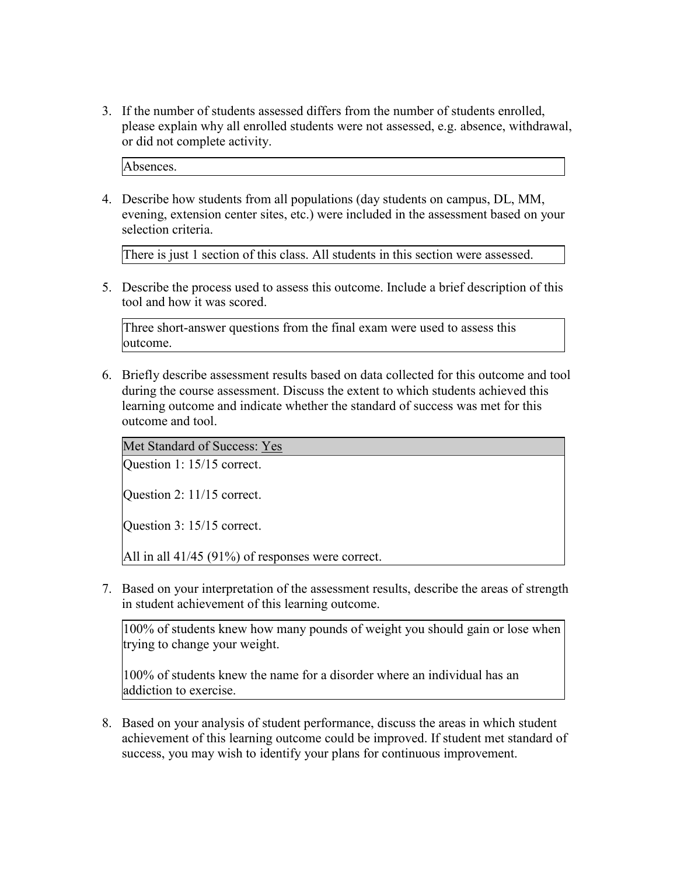3. If the number of students assessed differs from the number of students enrolled, please explain why all enrolled students were not assessed, e.g. absence, withdrawal, or did not complete activity.

Absences.

4. Describe how students from all populations (day students on campus, DL, MM, evening, extension center sites, etc.) were included in the assessment based on your selection criteria.

There is just 1 section of this class. All students in this section were assessed.

5. Describe the process used to assess this outcome. Include a brief description of this tool and how it was scored.

Three short-answer questions from the final exam were used to assess this outcome.

6. Briefly describe assessment results based on data collected for this outcome and tool during the course assessment. Discuss the extent to which students achieved this learning outcome and indicate whether the standard of success was met for this outcome and tool.

Met Standard of Success: Yes

Question 1: 15/15 correct.

Question 2: 11/15 correct.

Question 3: 15/15 correct.

All in all 41/45 (91%) of responses were correct.

7. Based on your interpretation of the assessment results, describe the areas of strength in student achievement of this learning outcome.

100% of students knew how many pounds of weight you should gain or lose when trying to change your weight.

100% of students knew the name for a disorder where an individual has an addiction to exercise.

8. Based on your analysis of student performance, discuss the areas in which student achievement of this learning outcome could be improved. If student met standard of success, you may wish to identify your plans for continuous improvement.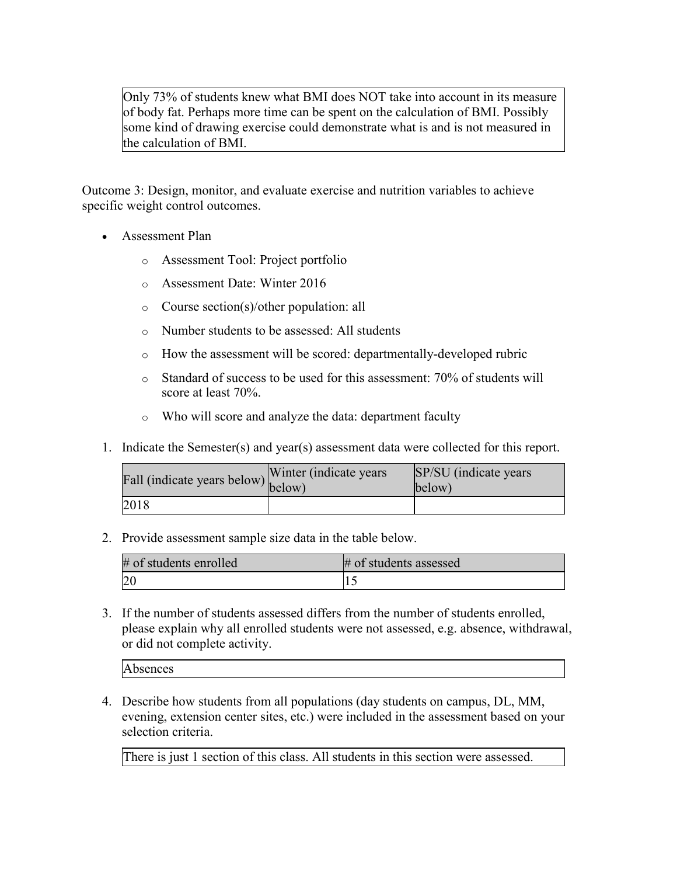Only 73% of students knew what BMI does NOT take into account in its measure of body fat. Perhaps more time can be spent on the calculation of BMI. Possibly some kind of drawing exercise could demonstrate what is and is not measured in the calculation of BMI.

Outcome 3: Design, monitor, and evaluate exercise and nutrition variables to achieve specific weight control outcomes.

- Assessment Plan
	- o Assessment Tool: Project portfolio
	- o Assessment Date: Winter 2016
	- o Course section(s)/other population: all
	- o Number students to be assessed: All students
	- o How the assessment will be scored: departmentally-developed rubric
	- o Standard of success to be used for this assessment: 70% of students will score at least 70%.
	- o Who will score and analyze the data: department faculty
- 1. Indicate the Semester(s) and year(s) assessment data were collected for this report.

| Fall (indicate years below) below) | Winter (indicate years) | SP/SU (indicate years)<br>below) |
|------------------------------------|-------------------------|----------------------------------|
| 2018                               |                         |                                  |

2. Provide assessment sample size data in the table below.

| # of students enrolled | # of students assessed |
|------------------------|------------------------|
|                        |                        |

3. If the number of students assessed differs from the number of students enrolled, please explain why all enrolled students were not assessed, e.g. absence, withdrawal, or did not complete activity.

Absences

4. Describe how students from all populations (day students on campus, DL, MM, evening, extension center sites, etc.) were included in the assessment based on your selection criteria.

There is just 1 section of this class. All students in this section were assessed.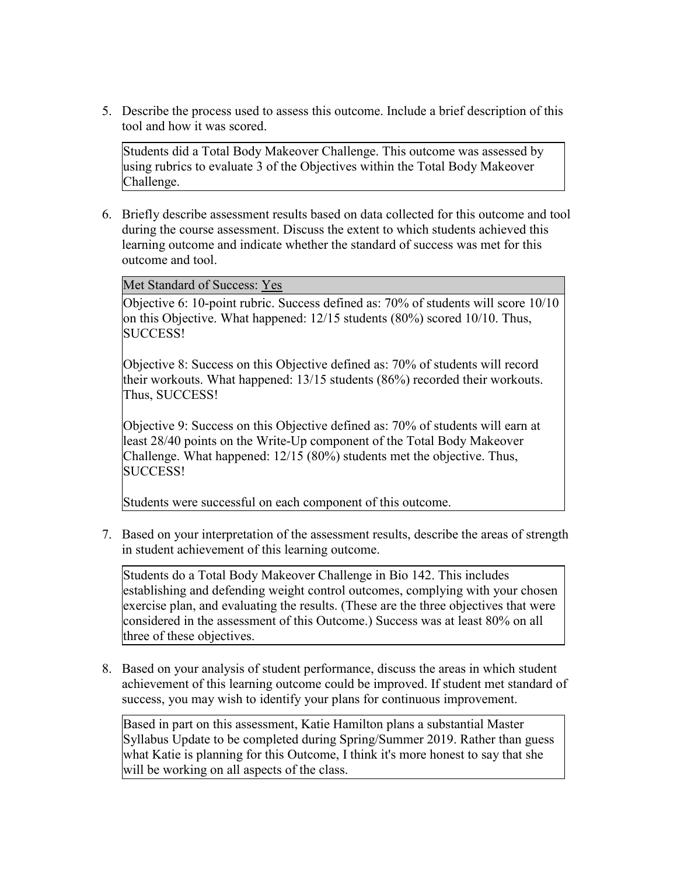5. Describe the process used to assess this outcome. Include a brief description of this tool and how it was scored.

Students did a Total Body Makeover Challenge. This outcome was assessed by using rubrics to evaluate 3 of the Objectives within the Total Body Makeover Challenge.

6. Briefly describe assessment results based on data collected for this outcome and tool during the course assessment. Discuss the extent to which students achieved this learning outcome and indicate whether the standard of success was met for this outcome and tool.

Met Standard of Success: Yes

Objective 6: 10-point rubric. Success defined as: 70% of students will score 10/10 on this Objective. What happened: 12/15 students (80%) scored 10/10. Thus, SUCCESS!

Objective 8: Success on this Objective defined as: 70% of students will record their workouts. What happened: 13/15 students (86%) recorded their workouts. Thus, SUCCESS!

Objective 9: Success on this Objective defined as: 70% of students will earn at least 28/40 points on the Write-Up component of the Total Body Makeover Challenge. What happened: 12/15 (80%) students met the objective. Thus, SUCCESS!

Students were successful on each component of this outcome.

7. Based on your interpretation of the assessment results, describe the areas of strength in student achievement of this learning outcome.

Students do a Total Body Makeover Challenge in Bio 142. This includes establishing and defending weight control outcomes, complying with your chosen exercise plan, and evaluating the results. (These are the three objectives that were considered in the assessment of this Outcome.) Success was at least 80% on all three of these objectives.

8. Based on your analysis of student performance, discuss the areas in which student achievement of this learning outcome could be improved. If student met standard of success, you may wish to identify your plans for continuous improvement.

Based in part on this assessment, Katie Hamilton plans a substantial Master Syllabus Update to be completed during Spring/Summer 2019. Rather than guess what Katie is planning for this Outcome, I think it's more honest to say that she will be working on all aspects of the class.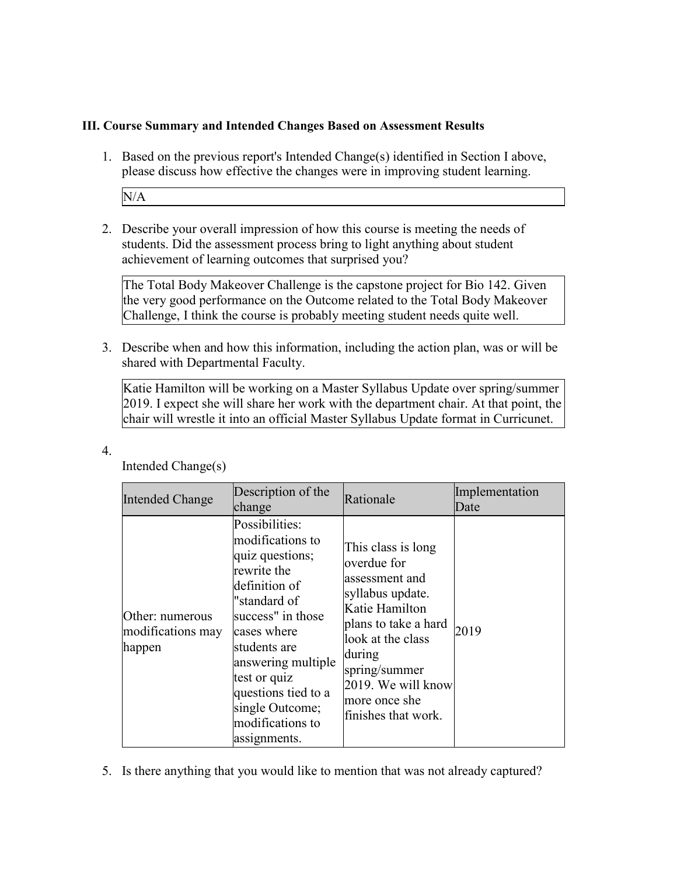## **III. Course Summary and Intended Changes Based on Assessment Results**

1. Based on the previous report's Intended Change(s) identified in Section I above, please discuss how effective the changes were in improving student learning.

N/A

2. Describe your overall impression of how this course is meeting the needs of students. Did the assessment process bring to light anything about student achievement of learning outcomes that surprised you?

The Total Body Makeover Challenge is the capstone project for Bio 142. Given the very good performance on the Outcome related to the Total Body Makeover Challenge, I think the course is probably meeting student needs quite well.

3. Describe when and how this information, including the action plan, was or will be shared with Departmental Faculty.

Katie Hamilton will be working on a Master Syllabus Update over spring/summer 2019. I expect she will share her work with the department chair. At that point, the chair will wrestle it into an official Master Syllabus Update format in Curricunet.

| <b>Intended Change</b>                         | Description of the<br>change                                                                                                                                                                                                                                                  | Rationale                                                                                                                                                                                                                       | Implementation<br>Date |
|------------------------------------------------|-------------------------------------------------------------------------------------------------------------------------------------------------------------------------------------------------------------------------------------------------------------------------------|---------------------------------------------------------------------------------------------------------------------------------------------------------------------------------------------------------------------------------|------------------------|
| Other: numerous<br>modifications may<br>happen | Possibilities:<br>modifications to<br>quiz questions;<br>rewrite the<br>definition of<br>"standard of<br>success" in those<br>cases where<br>students are<br>answering multiple<br>test or quiz<br>questions tied to a<br>single Outcome;<br>modifications to<br>assignments. | This class is long<br>overdue for<br>assessment and<br>syllabus update.<br>Katie Hamilton<br>plans to take a hard<br>look at the class<br>during<br>spring/summer<br>2019. We will know<br>more once she<br>finishes that work. | 2019                   |

Intended Change(s)

4.

5. Is there anything that you would like to mention that was not already captured?